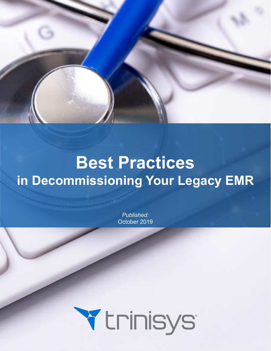

# **Best Practices in Decommissioning Your Legacy EMR**

*Published:* October 2019

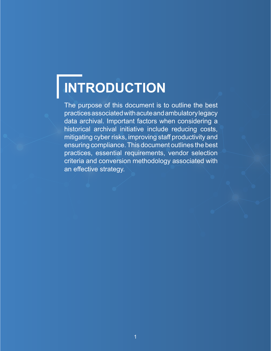# **INTRODUCTION**

The purpose of this document is to outline the best practices associated with acute and ambulatory legacy data archival. Important factors when considering a historical archival initiative include reducing costs, mitigating cyber risks, improving staff productivity and ensuring compliance. This document outlines the best practices, essential requirements, vendor selection criteria and conversion methodology associated with an effective strategy.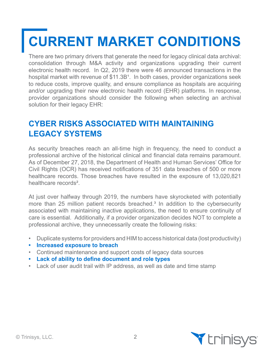# **CURRENT MARKET CONDITIONS**

There are two primary drivers that generate the need for legacy clinical data archival: consolidation through M&A activity and organizations upgrading their current electronic health record. In Q2, 2019 there were 46 announced transactions in the hospital market with revenue of \$11.3B<sup>1</sup>. In both cases, provider organizations seek to reduce costs, improve quality, and ensure compliance as hospitals are acquiring and/or upgrading their new electronic health record (EHR) platforms. In response, provider organizations should consider the following when selecting an archival solution for their legacy EHR:

## **CYBER RISKS ASSOCIATED WITH MAINTAINING LEGACY SYSTEMS**

As security breaches reach an all-time high in frequency, the need to conduct a professional archive of the historical clinical and financial data remains paramount. As of December 27, 2018, the Department of Health and Human Services' Office for Civil Rights (OCR) has received notifications of 351 data breaches of 500 or more healthcare records. Those breaches have resulted in the exposure of 13,020,821 healthcare records².

At just over halfway through 2019, the numbers have skyrocketed with potentially more than 25 million patient records breached.<sup>3</sup> In addition to the cybersecurity associated with maintaining inactive applications, the need to ensure continuity of care is essential. Additionally, if a provider organization decides NOT to complete a professional archive, they unnecessarily create the following risks:

- Duplicate systems for providers and HIM to access historical data (lost productivity)
- **• Increased exposure to breach**
- Continued maintenance and support costs of legacy data sources
- **• Lack of ability to define document and role types**
- Lack of user audit trail with IP address, as well as date and time stamp

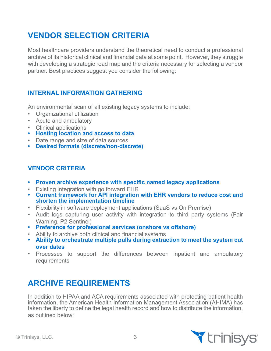# **VENDOR SELECTION CRITERIA**

Most healthcare providers understand the theoretical need to conduct a professional archive of its historical clinical and financial data at some point. However, they struggle with developing a strategic road map and the criteria necessary for selecting a vendor partner. Best practices suggest you consider the following:

#### **INTERNAL INFORMATION GATHERING**

An environmental scan of all existing legacy systems to include:

- Organizational utilization
- Acute and ambulatory
- Clinical applications
- **• Hosting location and access to data**
- Date range and size of data sources
- **• Desired formats (discrete/non-discrete)**

#### **VENDOR CRITERIA**

- **• Proven archive experience with specific named legacy applications**
- Existing integration with go forward EHR
- **• Current framework for API integration with EHR vendors to reduce cost and shorten the implementation timeline**
- Flexibility in software deployment applications (SaaS vs On Premise)
- Audit logs capturing user activity with integration to third party systems (Fair Warning, P2 Sentinel)
- **• Preference for professional services (onshore vs offshore)**
- Ability to archive both clinical and financial systems
- **• Ability to orchestrate multiple pulls during extraction to meet the system cut over dates**
- Processes to support the differences between inpatient and ambulatory requirements

## **ARCHIVE REQUIREMENTS**

In addition to HIPAA and ACA requirements associated with protecting patient health information, the American Health Information Management Association (AHIMA) has taken the liberty to define the legal health record and how to distribute the information, as outlined below:

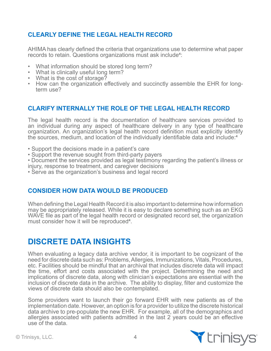#### **CLEARLY DEFINE THE LEGAL HEALTH RECORD**

AHIMA has clearly defined the criteria that organizations use to determine what paper records to retain. Questions organizations must ask include<sup>4</sup>:

- What information should be stored long term?
- What is clinically useful long term?
- What is the cost of storage?
- How can the organization effectively and succinctly assemble the EHR for longterm use?

#### **CLARIFY INTERNALLY THE ROLE OF THE LEGAL HEALTH RECORD**

The legal health record is the documentation of healthcare services provided to an individual during any aspect of healthcare delivery in any type of healthcare organization. An organization's legal health record definition must explicitly identify the sources, medium, and location of the individually identifiable data and include:<sup>4</sup>

- Support the decisions made in a patient's care
- Support the revenue sought from third-party payers
- Document the services provided as legal testimony regarding the patient's illness or injury, response to treatment, and caregiver decisions
- Serve as the organization's business and legal record

#### **CONSIDER HOW DATA WOULD BE PRODUCED**

When defining the Legal Health Record it is also important to determine how information may be appropriately released. While it is easy to declare something such as an EKG WAVE file as part of the legal health record or designated record set, the organization must consider how it will be reproduced<sup>4</sup>.

### **DISCRETE DATA INSIGHTS**

When evaluating a legacy data archive vendor, it is important to be cognizant of the need for discrete data such as: Problems, Allergies, Immunizations, Vitals, Procedures, etc. Facilities should be mindful that an archival that includes discrete data will impact the time, effort and costs associated with the project. Determining the need and implications of discrete data, along with clinician's expectations are essential with the inclusion of discrete data in the archive. The ability to display, filter and customize the views of discrete data should also be contemplated.

Some providers want to launch their go forward EHR with new patients as of the implementation date. However, an option is for a provider to utilize the discrete historical data archive to pre-populate the new EHR. For example, all of the demographics and allergies associated with patients admitted in the last 2 years could be an effective use of the data.

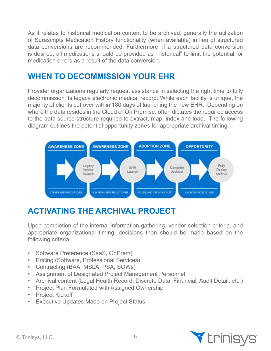As it relates to historical medication content to be archived, generally the utilization of Surescripts Medication History functionality (when available) in lieu of structured data conversions are recommended. Furthermore, if a structured data conversion is desired, all medications should be provided as "historical" to limit the potential for medication errors as a result of the data conversion.

## **WHEN TO DECOMMISSION YOUR EHR**

Provider organizations regularly request assistance in selecting the right time to fully decommission its legacy electronic medical record. While each facility is unique, the majority of clients cut over within 180 days of launching the new EHR. Depending on where the data resides in the Cloud or On Premise, often dictates the required access to the data source structure required to extract, map, index and load. The following diagram outlines the potential opportunity zones for appropriate archival timing:



# **ACTIVATING THE ARCHIVAL PROJECT**

Upon completion of the internal information gathering, vendor selection criteria, and appropriate organizational timing, decisions then should be made based on the following criteria:

- Software Preference (SaaS, OnPrem)
- Pricing (Software, Professional Services)
- Contracting (BAA, MSLA, PSA, SOWs)
- Assignment of Designated Project Management Personnel
- Archival content (Legal Health Record, Discrete Data, Financial, Audit Detail, etc.)
- Project Plan Formulated with Assigned Ownership
- Project Kickoff
- Executive Updates Made on Project Status

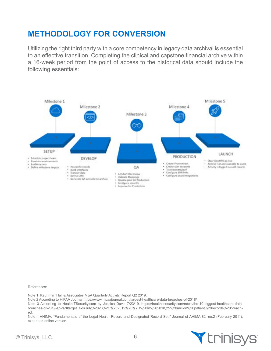## **METHODOLOGY FOR CONVERSION**

Utilizing the right third party with a core competency in legacy data archival is essential to an effective transition. Completing the clinical and capstone financial archive within a 16-week period from the point of access to the historical data should include the following essentials:



References:

Note 1 Kauffman Hall & Associates M&A Quarterly Activity Report Q2 2019.

Note 2 According to HIPAA Journal https://www.hipaajournal.com/largest-healthcare-data-breaches-of-2018/

Note 3 According to HealthITSecurity.com by Jessica Davis 7/23/19. https://healthitsecurity.com/news/the-10-biggest-healthcare-databreaches-of-2019-so-far#targetText=July%2023%2C%202019%20%2D%20In%202018,25%20million%20patient%20records%20breached.

Note 4 AHIMA. "Fundamentals of the Legal Health Record and Designated Record Set." Journal of AHIMA 82, no.2 (February 2011): expanded online version.

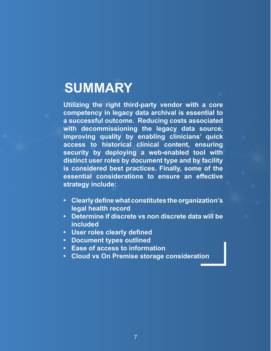# **SUMMARY**

**Utilizing the right third-party vendor with a core competency in legacy data archival is essential to a successful outcome. Reducing costs associated with decommissioning the legacy data source, improving quality by enabling clinicians' quick access to historical clinical content, ensuring security by deploying a web-enabled tool with distinct user roles by document type and by facility is considered best practices. Finally, some of the essential considerations to ensure an effective strategy include:**

- **• Clearly define what constitutes the organization's legal health record**
- **• Determine if discrete vs non discrete data will be included**
- **• User roles clearly defined**
- **• Document types outlined**
- **• Ease of access to information**
- **• Cloud vs On Premise storage consideration**